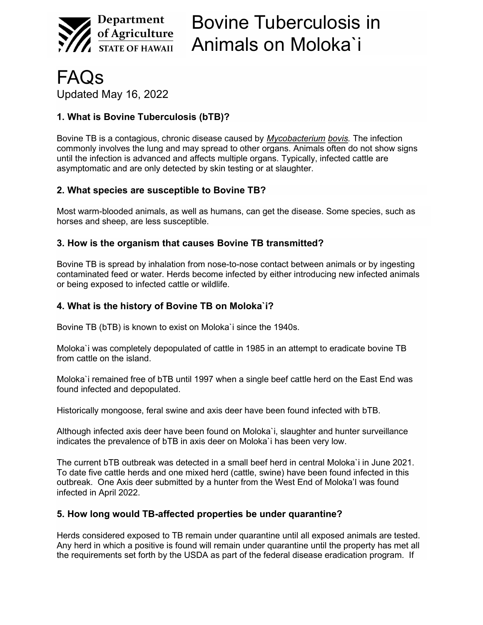

FAQs Updated May 16, 2022

# 1. What is Bovine Tuberculosis (bTB)?

Bovine TB is a contagious, chronic disease caused by Mycobacterium bovis. The infection commonly involves the lung and may spread to other organs. Animals often do not show signs until the infection is advanced and affects multiple organs. Typically, infected cattle are asymptomatic and are only detected by skin testing or at slaughter.

### 2. What species are susceptible to Bovine TB?

Most warm-blooded animals, as well as humans, can get the disease. Some species, such as horses and sheep, are less susceptible.

### 3. How is the organism that causes Bovine TB transmitted?

Bovine TB is spread by inhalation from nose-to-nose contact between animals or by ingesting contaminated feed or water. Herds become infected by either introducing new infected animals or being exposed to infected cattle or wildlife.

### 4. What is the history of Bovine TB on Moloka`i?

Bovine TB (bTB) is known to exist on Moloka`i since the 1940s.

Moloka`i was completely depopulated of cattle in 1985 in an attempt to eradicate bovine TB from cattle on the island.

Moloka`i remained free of bTB until 1997 when a single beef cattle herd on the East End was found infected and depopulated.

Historically mongoose, feral swine and axis deer have been found infected with bTB.

Although infected axis deer have been found on Moloka`i, slaughter and hunter surveillance indicates the prevalence of bTB in axis deer on Moloka`i has been very low.

The current bTB outbreak was detected in a small beef herd in central Moloka`i in June 2021. To date five cattle herds and one mixed herd (cattle, swine) have been found infected in this outbreak. One Axis deer submitted by a hunter from the West End of Moloka'I was found infected in April 2022.

#### 5. How long would TB-affected properties be under quarantine?

Herds considered exposed to TB remain under quarantine until all exposed animals are tested. Any herd in which a positive is found will remain under quarantine until the property has met all the requirements set forth by the USDA as part of the federal disease eradication program. If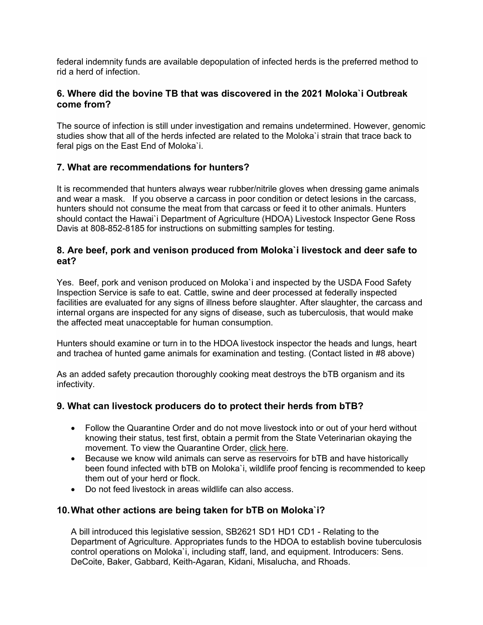federal indemnity funds are available depopulation of infected herds is the preferred method to rid a herd of infection.

### 6. Where did the bovine TB that was discovered in the 2021 Moloka`i Outbreak come from?

The source of infection is still under investigation and remains undetermined. However, genomic studies show that all of the herds infected are related to the Moloka`i strain that trace back to feral pigs on the East End of Moloka`i.

### 7. What are recommendations for hunters?

It is recommended that hunters always wear rubber/nitrile gloves when dressing game animals and wear a mask. If you observe a carcass in poor condition or detect lesions in the carcass, hunters should not consume the meat from that carcass or feed it to other animals. Hunters should contact the Hawai`i Department of Agriculture (HDOA) Livestock Inspector Gene Ross Davis at 808-852-8185 for instructions on submitting samples for testing.

#### 8. Are beef, pork and venison produced from Moloka`i livestock and deer safe to eat?

Yes. Beef, pork and venison produced on Moloka`i and inspected by the USDA Food Safety Inspection Service is safe to eat. Cattle, swine and deer processed at federally inspected facilities are evaluated for any signs of illness before slaughter. After slaughter, the carcass and internal organs are inspected for any signs of disease, such as tuberculosis, that would make the affected meat unacceptable for human consumption.

Hunters should examine or turn in to the HDOA livestock inspector the heads and lungs, heart and trachea of hunted game animals for examination and testing. (Contact listed in #8 above)

As an added safety precaution thoroughly cooking meat destroys the bTB organism and its infectivity.

## 9. What can livestock producers do to protect their herds from bTB?

- Follow the Quarantine Order and do not move livestock into or out of your herd without knowing their status, test first, obtain a permit from the State Veterinarian okaying the movement. To view the Quarantine Order, click here.
- Because we know wild animals can serve as reservoirs for bTB and have historically been found infected with bTB on Moloka`i, wildlife proof fencing is recommended to keep them out of your herd or flock.
- Do not feed livestock in areas wildlife can also access.

#### 10. What other actions are being taken for bTB on Moloka`i?

A bill introduced this legislative session, SB2621 SD1 HD1 CD1 - Relating to the Department of Agriculture. Appropriates funds to the HDOA to establish bovine tuberculosis control operations on Moloka`i, including staff, land, and equipment. Introducers: Sens. DeCoite, Baker, Gabbard, Keith-Agaran, Kidani, Misalucha, and Rhoads.